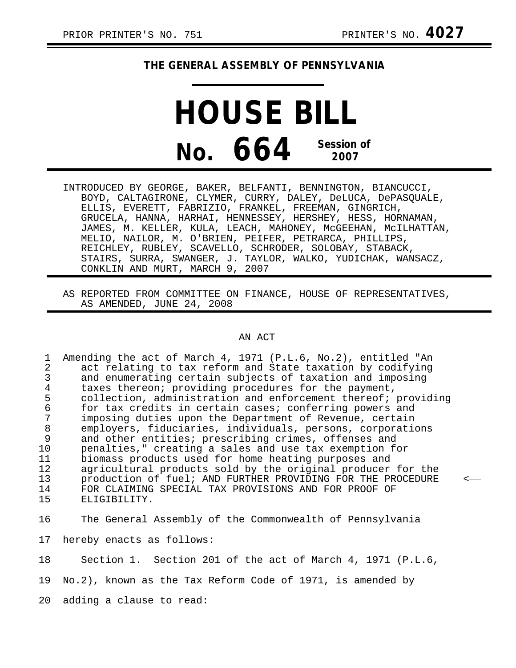## **THE GENERAL ASSEMBLY OF PENNSYLVANIA**

**HOUSE BILL No. 664 Session of 2007**

INTRODUCED BY GEORGE, BAKER, BELFANTI, BENNINGTON, BIANCUCCI, BOYD, CALTAGIRONE, CLYMER, CURRY, DALEY, DeLUCA, DePASQUALE, ELLIS, EVERETT, FABRIZIO, FRANKEL, FREEMAN, GINGRICH, GRUCELA, HANNA, HARHAI, HENNESSEY, HERSHEY, HESS, HORNAMAN, JAMES, M. KELLER, KULA, LEACH, MAHONEY, McGEEHAN, McILHATTAN, MELIO, NAILOR, M. O'BRIEN, PEIFER, PETRARCA, PHILLIPS, REICHLEY, RUBLEY, SCAVELLO, SCHRODER, SOLOBAY, STABACK, STAIRS, SURRA, SWANGER, J. TAYLOR, WALKO, YUDICHAK, WANSACZ, CONKLIN AND MURT, MARCH 9, 2007

AS REPORTED FROM COMMITTEE ON FINANCE, HOUSE OF REPRESENTATIVES, AS AMENDED, JUNE 24, 2008

## AN ACT

1 Amending the act of March 4, 1971 (P.L.6, No.2), entitled "An 2 act relating to tax reform and State taxation by codifying<br>3 and enumerating certain subjects of taxation and imposing 3 and enumerating certain subjects of taxation and imposing<br>4 taxes thereon: providing procedures for the payment. 4 taxes thereon; providing procedures for the payment,<br>5 collection, administration and enforcement thereof; 5 collection, administration and enforcement thereof; providing<br>6 for tax credits in certain cases; conferring powers and 6 for tax credits in certain cases; conferring powers and 7 imposing duties upon the Department of Revenue, certain 8 employers, fiduciaries, individuals, persons, corporations<br>9 and other entities; prescribing crimes, offenses and and other entities; prescribing crimes, offenses and 10 penalties," creating a sales and use tax exemption for<br>11 biomass products used for home heating purposes and 11 biomass products used for home heating purposes and<br>12 agricultural products sold by the original producer 12 agricultural products sold by the original producer for the<br>13 production of fuel; AND FURTHER PROVIDING FOR THE PROCEDURE 13 production of fuel; AND FURTHER PROVIDING FOR THE PROCEDURE 14 FOR CLAIMING SPECIAL TAX PROVISIONS AND FOR PROOF OF 14 FOR CLAIMING SPECIAL TAX PROVISIONS AND FOR PROOF OF 15 ELIGIBILITY. ELIGIBILITY.

16 The General Assembly of the Commonwealth of Pennsylvania

17 hereby enacts as follows:

18 Section 1. Section 201 of the act of March 4, 1971 (P.L.6,

19 No.2), known as the Tax Reform Code of 1971, is amended by

20 adding a clause to read: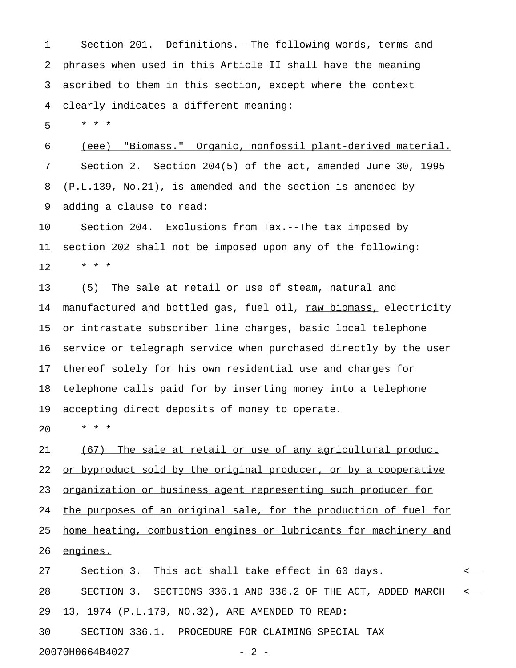1 Section 201. Definitions.--The following words, terms and 2 phrases when used in this Article II shall have the meaning 3 ascribed to them in this section, except where the context 4 clearly indicates a different meaning:

5 \* \* \*

6 (eee) "Biomass." Organic, nonfossil plant-derived material. 7 Section 2. Section 204(5) of the act, amended June 30, 1995 8 (P.L.139, No.21), is amended and the section is amended by 9 adding a clause to read:

10 Section 204. Exclusions from Tax.--The tax imposed by 11 section 202 shall not be imposed upon any of the following:  $12 + * * *$ 

13 (5) The sale at retail or use of steam, natural and 14 manufactured and bottled gas, fuel oil, raw biomass, electricity 15 or intrastate subscriber line charges, basic local telephone 16 service or telegraph service when purchased directly by the user 17 thereof solely for his own residential use and charges for 18 telephone calls paid for by inserting money into a telephone 19 accepting direct deposits of money to operate.

20 \* \* \*

21 (67) The sale at retail or use of any agricultural product 22 <u>or byproduct sold by the original producer, or by a cooperative</u> 23 <u>organization or business agent representing such producer for</u> 24 the purposes of an original sale, for the production of fuel for 25 home heating, combustion engines or lubricants for machinery and 26 engines.

27 Section 3. This act shall take effect in 60 days.  $\sim$ 28 SECTION 3. SECTIONS 336.1 AND 336.2 OF THE ACT, ADDED MARCH < 29 13, 1974 (P.L.179, NO.32), ARE AMENDED TO READ: 30 SECTION 336.1. PROCEDURE FOR CLAIMING SPECIAL TAX

20070H0664B4027 - 2 -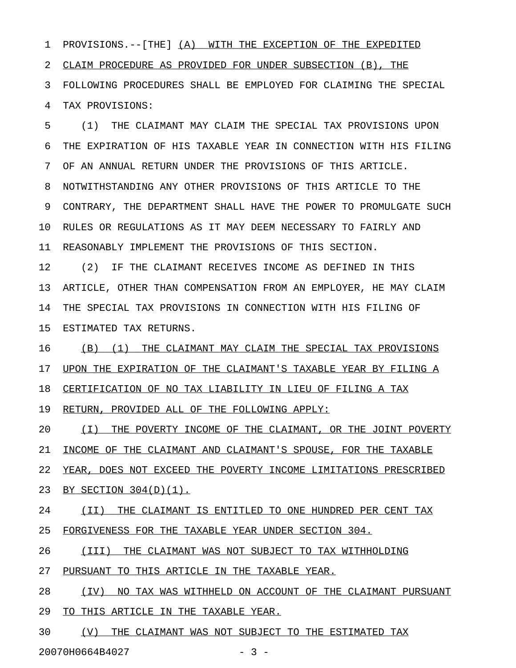1 PROVISIONS.--[THE] (A) WITH THE EXCEPTION OF THE EXPEDITED 2 CLAIM PROCEDURE AS PROVIDED FOR UNDER SUBSECTION (B), THE 3 FOLLOWING PROCEDURES SHALL BE EMPLOYED FOR CLAIMING THE SPECIAL 4 TAX PROVISIONS:

5 (1) THE CLAIMANT MAY CLAIM THE SPECIAL TAX PROVISIONS UPON 6 THE EXPIRATION OF HIS TAXABLE YEAR IN CONNECTION WITH HIS FILING 7 OF AN ANNUAL RETURN UNDER THE PROVISIONS OF THIS ARTICLE. 8 NOTWITHSTANDING ANY OTHER PROVISIONS OF THIS ARTICLE TO THE 9 CONTRARY, THE DEPARTMENT SHALL HAVE THE POWER TO PROMULGATE SUCH 10 RULES OR REGULATIONS AS IT MAY DEEM NECESSARY TO FAIRLY AND 11 REASONABLY IMPLEMENT THE PROVISIONS OF THIS SECTION.

12 (2) IF THE CLAIMANT RECEIVES INCOME AS DEFINED IN THIS 13 ARTICLE, OTHER THAN COMPENSATION FROM AN EMPLOYER, HE MAY CLAIM 14 THE SPECIAL TAX PROVISIONS IN CONNECTION WITH HIS FILING OF 15 ESTIMATED TAX RETURNS.

16 (B) (1) THE CLAIMANT MAY CLAIM THE SPECIAL TAX PROVISIONS 17 UPON THE EXPIRATION OF THE CLAIMANT'S TAXABLE YEAR BY FILING A

18 CERTIFICATION OF NO TAX LIABILITY IN LIEU OF FILING A TAX

19 RETURN, PROVIDED ALL OF THE FOLLOWING APPLY:

20  $(1)$  THE POVERTY INCOME OF THE CLAIMANT, OR THE JOINT POVERTY 21 INCOME OF THE CLAIMANT AND CLAIMANT'S SPOUSE, FOR THE TAXABLE

22 YEAR, DOES NOT EXCEED THE POVERTY INCOME LIMITATIONS PRESCRIBED

23 BY SECTION 304(D)(1).

24 (II) THE CLAIMANT IS ENTITLED TO ONE HUNDRED PER CENT TAX 25 FORGIVENESS FOR THE TAXABLE YEAR UNDER SECTION 304.

26 (III) THE CLAIMANT WAS NOT SUBJECT TO TAX WITHHOLDING

27 PURSUANT TO THIS ARTICLE IN THE TAXABLE YEAR.

28 (IV) NO TAX WAS WITHHELD ON ACCOUNT OF THE CLAIMANT PURSUANT 29 TO THIS ARTICLE IN THE TAXABLE YEAR.

30  $\qquad$  (V) THE CLAIMANT WAS NOT SUBJECT TO THE ESTIMATED TAX

20070H0664B4027 - 3 -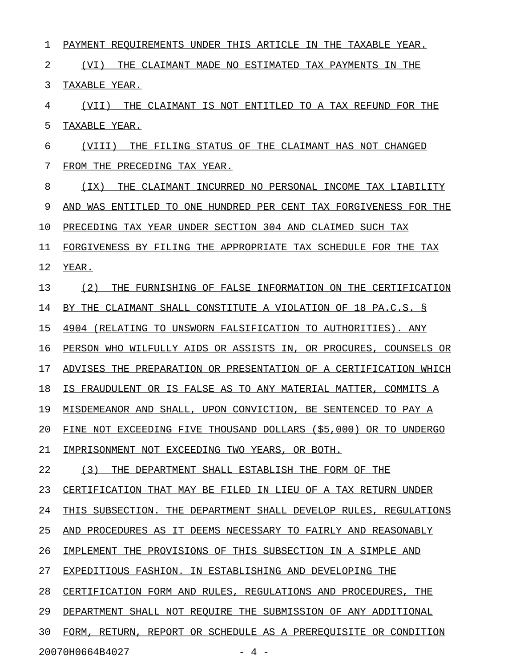1 PAYMENT REQUIREMENTS UNDER THIS ARTICLE IN THE TAXABLE YEAR. 2  $(VI)$  THE CLAIMANT MADE NO ESTIMATED TAX PAYMENTS IN THE 3 TAXABLE YEAR. 4 (VII) THE CLAIMANT IS NOT ENTITLED TO A TAX REFUND FOR THE 5 TAXABLE YEAR. 6 (VIII) THE FILING STATUS OF THE CLAIMANT HAS NOT CHANGED 7 FROM THE PRECEDING TAX YEAR. 8 (IX) THE CLAIMANT INCURRED NO PERSONAL INCOME TAX LIABILITY 9 AND WAS ENTITLED TO ONE HUNDRED PER CENT TAX FORGIVENESS FOR THE 10 PRECEDING TAX YEAR UNDER SECTION 304 AND CLAIMED SUCH TAX 11 FORGIVENESS BY FILING THE APPROPRIATE TAX SCHEDULE FOR THE TAX 12 YEAR. 13 (2) THE FURNISHING OF FALSE INFORMATION ON THE CERTIFICATION 14 BY THE CLAIMANT SHALL CONSTITUTE A VIOLATION OF 18 PA.C.S. § 15 4904 (RELATING TO UNSWORN FALSIFICATION TO AUTHORITIES). ANY 16 PERSON WHO WILFULLY AIDS OR ASSISTS IN, OR PROCURES, COUNSELS OR 17 ADVISES THE PREPARATION OR PRESENTATION OF A CERTIFICATION WHICH 18 IS FRAUDULENT OR IS FALSE AS TO ANY MATERIAL MATTER, COMMITS A 19 MISDEMEANOR AND SHALL, UPON CONVICTION, BE SENTENCED TO PAY A 20 FINE NOT EXCEEDING FIVE THOUSAND DOLLARS (\$5,000) OR TO UNDERGO 21 IMPRISONMENT NOT EXCEEDING TWO YEARS, OR BOTH. 22 (3) THE DEPARTMENT SHALL ESTABLISH THE FORM OF THE 23 CERTIFICATION THAT MAY BE FILED IN LIEU OF A TAX RETURN UNDER 24 THIS SUBSECTION. THE DEPARTMENT SHALL DEVELOP RULES, REGULATIONS 25 AND PROCEDURES AS IT DEEMS NECESSARY TO FAIRLY AND REASONABLY 26 IMPLEMENT THE PROVISIONS OF THIS SUBSECTION IN A SIMPLE AND 27 EXPEDITIOUS FASHION. IN ESTABLISHING AND DEVELOPING THE 28 CERTIFICATION FORM AND RULES, REGULATIONS AND PROCEDURES, THE 29 DEPARTMENT SHALL NOT REQUIRE THE SUBMISSION OF ANY ADDITIONAL 30 FORM, RETURN, REPORT OR SCHEDULE AS A PREREOUISITE OR CONDITION 20070H0664B4027 - 4 -